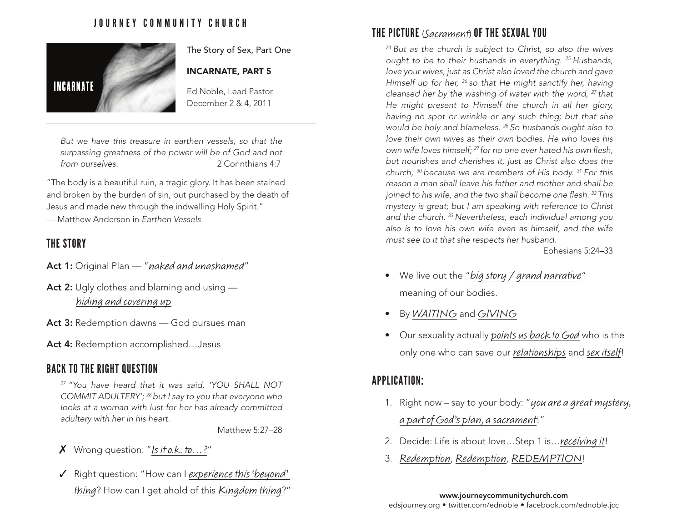### JOURNEY COMMUNITY CHURCH



The Story of Sex, Part One

#### INCARNATE, PART 5

Ed Noble, Lead Pastor December 2 & 4, 2011

*But we have this treasure in earthen vessels, so that the surpassing greatness of the power will be of God and not from ourselves.* 2 Corinthians 4:7

"The body is a beautiful ruin, a tragic glory. It has been stained and broken by the burden of sin, but purchased by the death of Jesus and made new through the indwelling Holy Spirit."

— Matthew Anderson in *Earthen Vessels*

### THE STORY

- Act 1: Original Plan "naked and unashamed"
- Act 2: Ugly clothes and blaming and using hiding and covering up
- Act 3: Redemption dawns God pursues man
- Act 4: Redemption accomplished...Jesus

#### BACK TO THE RIGHT QUESTION

*27 "You have heard that it was said, 'YOU SHALL NOT COMMIT ADULTERY'; 28 but I say to you that everyone who looks at a woman with lust for her has already committed adultery with her in his heart.* 

Matthew 5:27–28

- $X$  Wrong question: "Is it o.k. to...?"
- $\checkmark$  Right question: "How can I experience this 'beyond' thing? How can I get ahold of this Kingdom thing?" www.journeycommunitychurch.com

# THE PICTURE (Sacrament) OF THE SEXUAL YOU

*24 But as the church is subject to Christ, so also the wives ought to be to their husbands in everything. 25 Husbands, love your wives, just as Christ also loved the church and gave Himself up for her, 26 so that He might sanctify her, having cleansed her by the washing of water with the word, 27 that He might present to Himself the church in all her glory, having no spot or wrinkle or any such thing; but that she would be holy and blameless. 28 So husbands ought also to love their own wives as their own bodies. He who loves his own wife loves himself; 29 for no one ever hated his own flesh, but nourishes and cherishes it, just as Christ also does the church, 30 because we are members of His body. 31 For this reason a man shall leave his father and mother and shall be joined to his wife, and the two shall become one flesh. 32 This mystery is great; but I am speaking with reference to Christ and the church. 33 Nevertheless, each individual among you also is to love his own wife even as himself, and the wife must see to it that she respects her husband.*

Ephesians 5:24–33

- We live out the "big story / grand narrative" meaning of our bodies.
- By WAITING and GIVING
- Our sexuality actually *points us back to God* who is the only one who can save our *relationships* and sex itself!

## APPLICATION:

- 1. Right now say to your body: "you are a great mystery, a part of God's plan, a sacrament!"
- 2. Decide: Life is about love...Step 1 is... receiving it!
- 3. Redemption, Redemption, REDEMPTION!

edsjourney.org • twitter.com/ednoble • facebook.com/ednoble.jcc